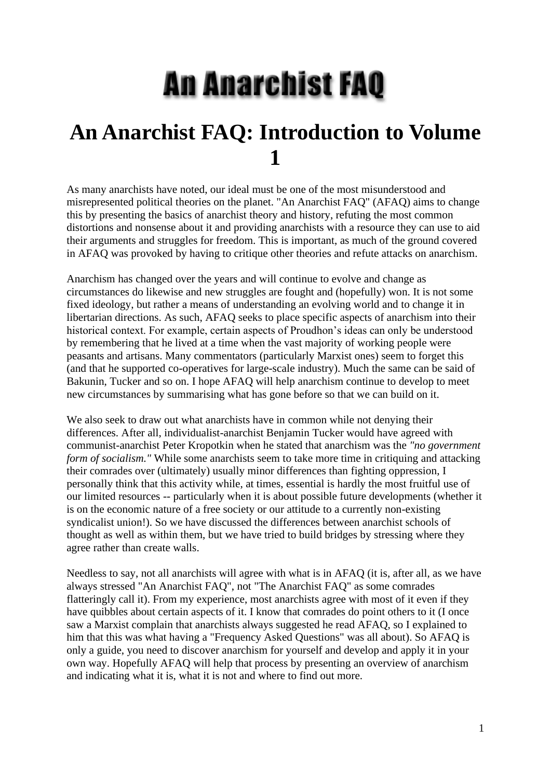## An Anarchist FAQ

## **An Anarchist FAQ: Introduction to Volume 1**

As many anarchists have noted, our ideal must be one of the most misunderstood and misrepresented political theories on the planet. "An Anarchist FAQ" (AFAQ) aims to change this by presenting the basics of anarchist theory and history, refuting the most common distortions and nonsense about it and providing anarchists with a resource they can use to aid their arguments and struggles for freedom. This is important, as much of the ground covered in AFAQ was provoked by having to critique other theories and refute attacks on anarchism.

Anarchism has changed over the years and will continue to evolve and change as circumstances do likewise and new struggles are fought and (hopefully) won. It is not some fixed ideology, but rather a means of understanding an evolving world and to change it in libertarian directions. As such, AFAQ seeks to place specific aspects of anarchism into their historical context. For example, certain aspects of Proudhon's ideas can only be understood by remembering that he lived at a time when the vast majority of working people were peasants and artisans. Many commentators (particularly Marxist ones) seem to forget this (and that he supported co-operatives for large-scale industry). Much the same can be said of Bakunin, Tucker and so on. I hope AFAQ will help anarchism continue to develop to meet new circumstances by summarising what has gone before so that we can build on it.

We also seek to draw out what anarchists have in common while not denying their differences. After all, individualist-anarchist Benjamin Tucker would have agreed with communist-anarchist Peter Kropotkin when he stated that anarchism was the *"no government form of socialism."* While some anarchists seem to take more time in critiquing and attacking their comrades over (ultimately) usually minor differences than fighting oppression, I personally think that this activity while, at times, essential is hardly the most fruitful use of our limited resources -- particularly when it is about possible future developments (whether it is on the economic nature of a free society or our attitude to a currently non-existing syndicalist union!). So we have discussed the differences between anarchist schools of thought as well as within them, but we have tried to build bridges by stressing where they agree rather than create walls.

Needless to say, not all anarchists will agree with what is in AFAQ (it is, after all, as we have always stressed "An Anarchist FAQ", not "The Anarchist FAQ" as some comrades flatteringly call it). From my experience, most anarchists agree with most of it even if they have quibbles about certain aspects of it. I know that comrades do point others to it (I once saw a Marxist complain that anarchists always suggested he read AFAQ, so I explained to him that this was what having a "Frequency Asked Questions" was all about). So AFAQ is only a guide, you need to discover anarchism for yourself and develop and apply it in your own way. Hopefully AFAQ will help that process by presenting an overview of anarchism and indicating what it is, what it is not and where to find out more.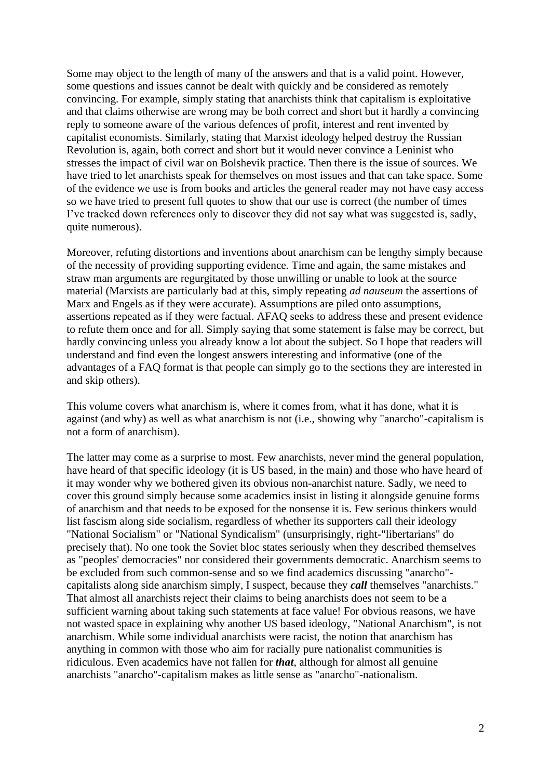Some may object to the length of many of the answers and that is a valid point. However, some questions and issues cannot be dealt with quickly and be considered as remotely convincing. For example, simply stating that anarchists think that capitalism is exploitative and that claims otherwise are wrong may be both correct and short but it hardly a convincing reply to someone aware of the various defences of profit, interest and rent invented by capitalist economists. Similarly, stating that Marxist ideology helped destroy the Russian Revolution is, again, both correct and short but it would never convince a Leninist who stresses the impact of civil war on Bolshevik practice. Then there is the issue of sources. We have tried to let anarchists speak for themselves on most issues and that can take space. Some of the evidence we use is from books and articles the general reader may not have easy access so we have tried to present full quotes to show that our use is correct (the number of times I've tracked down references only to discover they did not say what was suggested is, sadly, quite numerous).

Moreover, refuting distortions and inventions about anarchism can be lengthy simply because of the necessity of providing supporting evidence. Time and again, the same mistakes and straw man arguments are regurgitated by those unwilling or unable to look at the source material (Marxists are particularly bad at this, simply repeating *ad nauseum* the assertions of Marx and Engels as if they were accurate). Assumptions are piled onto assumptions, assertions repeated as if they were factual. AFAQ seeks to address these and present evidence to refute them once and for all. Simply saying that some statement is false may be correct, but hardly convincing unless you already know a lot about the subject. So I hope that readers will understand and find even the longest answers interesting and informative (one of the advantages of a FAQ format is that people can simply go to the sections they are interested in and skip others).

This volume covers what anarchism is, where it comes from, what it has done, what it is against (and why) as well as what anarchism is not (i.e., showing why "anarcho"-capitalism is not a form of anarchism).

The latter may come as a surprise to most. Few anarchists, never mind the general population, have heard of that specific ideology (it is US based, in the main) and those who have heard of it may wonder why we bothered given its obvious non-anarchist nature. Sadly, we need to cover this ground simply because some academics insist in listing it alongside genuine forms of anarchism and that needs to be exposed for the nonsense it is. Few serious thinkers would list fascism along side socialism, regardless of whether its supporters call their ideology "National Socialism" or "National Syndicalism" (unsurprisingly, right-"libertarians" do precisely that). No one took the Soviet bloc states seriously when they described themselves as "peoples' democracies" nor considered their governments democratic. Anarchism seems to be excluded from such common-sense and so we find academics discussing "anarcho" capitalists along side anarchism simply, I suspect, because they *call* themselves "anarchists." That almost all anarchists reject their claims to being anarchists does not seem to be a sufficient warning about taking such statements at face value! For obvious reasons, we have not wasted space in explaining why another US based ideology, "National Anarchism", is not anarchism. While some individual anarchists were racist, the notion that anarchism has anything in common with those who aim for racially pure nationalist communities is ridiculous. Even academics have not fallen for *that*, although for almost all genuine anarchists "anarcho"-capitalism makes as little sense as "anarcho"-nationalism.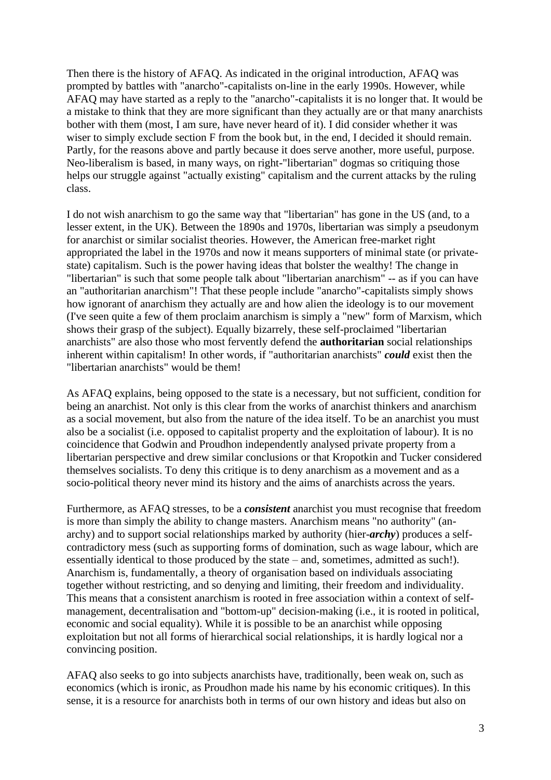Then there is the history of AFAQ. As indicated in the original introduction, AFAQ was prompted by battles with "anarcho"-capitalists on-line in the early 1990s. However, while AFAQ may have started as a reply to the "anarcho"-capitalists it is no longer that. It would be a mistake to think that they are more significant than they actually are or that many anarchists bother with them (most, I am sure, have never heard of it). I did consider whether it was wiser to simply exclude section F from the book but, in the end, I decided it should remain. Partly, for the reasons above and partly because it does serve another, more useful, purpose. Neo-liberalism is based, in many ways, on right-"libertarian" dogmas so critiquing those helps our struggle against "actually existing" capitalism and the current attacks by the ruling class.

I do not wish anarchism to go the same way that "libertarian" has gone in the US (and, to a lesser extent, in the UK). Between the 1890s and 1970s, libertarian was simply a pseudonym for anarchist or similar socialist theories. However, the American free-market right appropriated the label in the 1970s and now it means supporters of minimal state (or privatestate) capitalism. Such is the power having ideas that bolster the wealthy! The change in "libertarian" is such that some people talk about "libertarian anarchism" -- as if you can have an "authoritarian anarchism"! That these people include "anarcho"-capitalists simply shows how ignorant of anarchism they actually are and how alien the ideology is to our movement (I've seen quite a few of them proclaim anarchism is simply a "new" form of Marxism, which shows their grasp of the subject). Equally bizarrely, these self-proclaimed "libertarian anarchists" are also those who most fervently defend the **authoritarian** social relationships inherent within capitalism! In other words, if "authoritarian anarchists" *could* exist then the "libertarian anarchists" would be them!

As AFAQ explains, being opposed to the state is a necessary, but not sufficient, condition for being an anarchist. Not only is this clear from the works of anarchist thinkers and anarchism as a social movement, but also from the nature of the idea itself. To be an anarchist you must also be a socialist (i.e. opposed to capitalist property and the exploitation of labour). It is no coincidence that Godwin and Proudhon independently analysed private property from a libertarian perspective and drew similar conclusions or that Kropotkin and Tucker considered themselves socialists. To deny this critique is to deny anarchism as a movement and as a socio-political theory never mind its history and the aims of anarchists across the years.

Furthermore, as AFAQ stresses, to be a *consistent* anarchist you must recognise that freedom is more than simply the ability to change masters. Anarchism means "no authority" (anarchy) and to support social relationships marked by authority (hier-*archy*) produces a selfcontradictory mess (such as supporting forms of domination, such as wage labour, which are essentially identical to those produced by the state – and, sometimes, admitted as such!). Anarchism is, fundamentally, a theory of organisation based on individuals associating together without restricting, and so denying and limiting, their freedom and individuality. This means that a consistent anarchism is rooted in free association within a context of selfmanagement, decentralisation and "bottom-up" decision-making (i.e., it is rooted in political, economic and social equality). While it is possible to be an anarchist while opposing exploitation but not all forms of hierarchical social relationships, it is hardly logical nor a convincing position.

AFAQ also seeks to go into subjects anarchists have, traditionally, been weak on, such as economics (which is ironic, as Proudhon made his name by his economic critiques). In this sense, it is a resource for anarchists both in terms of our own history and ideas but also on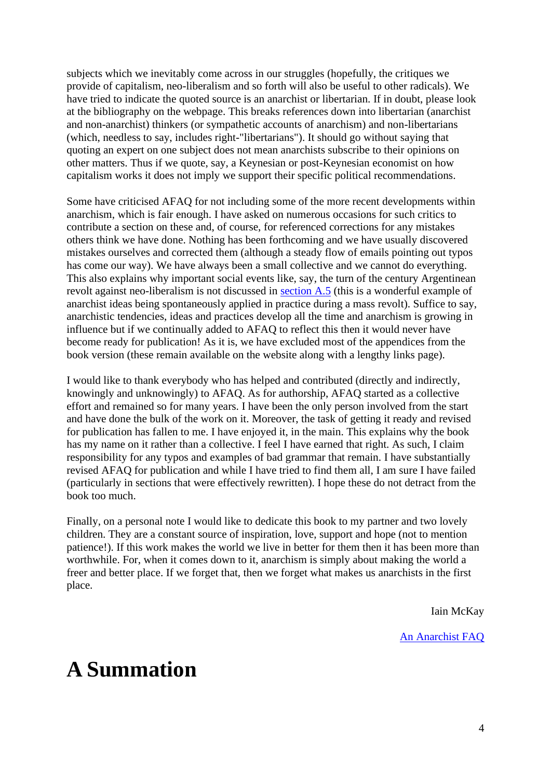subjects which we inevitably come across in our struggles (hopefully, the critiques we provide of capitalism, neo-liberalism and so forth will also be useful to other radicals). We have tried to indicate the quoted source is an anarchist or libertarian. If in doubt, please look at the bibliography on the webpage. This breaks references down into libertarian (anarchist and non-anarchist) thinkers (or sympathetic accounts of anarchism) and non-libertarians (which, needless to say, includes right-"libertarians"). It should go without saying that quoting an expert on one subject does not mean anarchists subscribe to their opinions on other matters. Thus if we quote, say, a Keynesian or post-Keynesian economist on how capitalism works it does not imply we support their specific political recommendations.

Some have criticised AFAQ for not including some of the more recent developments within anarchism, which is fair enough. I have asked on numerous occasions for such critics to contribute a section on these and, of course, for referenced corrections for any mistakes others think we have done. Nothing has been forthcoming and we have usually discovered mistakes ourselves and corrected them (although a steady flow of emails pointing out typos has come our way). We have always been a small collective and we cannot do everything. This also explains why important social events like, say, the turn of the century Argentinean revolt against neo-liberalism is not discussed in [section A.5](sectionA.html#seca5) (this is a wonderful example of anarchist ideas being spontaneously applied in practice during a mass revolt). Suffice to say, anarchistic tendencies, ideas and practices develop all the time and anarchism is growing in influence but if we continually added to AFAQ to reflect this then it would never have become ready for publication! As it is, we have excluded most of the appendices from the book version (these remain available on the website along with a lengthy links page).

I would like to thank everybody who has helped and contributed (directly and indirectly, knowingly and unknowingly) to AFAQ. As for authorship, AFAQ started as a collective effort and remained so for many years. I have been the only person involved from the start and have done the bulk of the work on it. Moreover, the task of getting it ready and revised for publication has fallen to me. I have enjoyed it, in the main. This explains why the book has my name on it rather than a collective. I feel I have earned that right. As such, I claim responsibility for any typos and examples of bad grammar that remain. I have substantially revised AFAQ for publication and while I have tried to find them all, I am sure I have failed (particularly in sections that were effectively rewritten). I hope these do not detract from the book too much.

Finally, on a personal note I would like to dedicate this book to my partner and two lovely children. They are a constant source of inspiration, love, support and hope (not to mention patience!). If this work makes the world we live in better for them then it has been more than worthwhile. For, when it comes down to it, anarchism is simply about making the world a freer and better place. If we forget that, then we forget what makes us anarchists in the first place.

Iain McKay

[An Anarchist FAQ](http://www.anarchistfaq.org/)

## **A Summation**